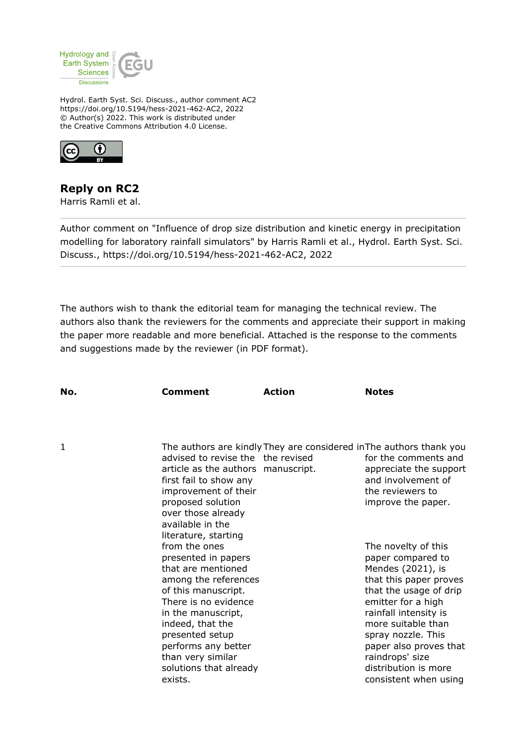

Hydrol. Earth Syst. Sci. Discuss., author comment AC2 https://doi.org/10.5194/hess-2021-462-AC2, 2022 © Author(s) 2022. This work is distributed under the Creative Commons Attribution 4.0 License.



## **Reply on RC2**

Harris Ramli et al.

Author comment on "Influence of drop size distribution and kinetic energy in precipitation modelling for laboratory rainfall simulators" by Harris Ramli et al., Hydrol. Earth Syst. Sci. Discuss., https://doi.org/10.5194/hess-2021-462-AC2, 2022

The authors wish to thank the editorial team for managing the technical review. The authors also thank the reviewers for the comments and appreciate their support in making the paper more readable and more beneficial. Attached is the response to the comments and suggestions made by the reviewer (in PDF format).

| No. | Comment                                                                                                                                                                                                                                                                                                                                                                                                                                                                                  | <b>Action</b> | <b>Notes</b>                                                                                                                                                                                                                                                                                                                                                                                                                                                               |
|-----|------------------------------------------------------------------------------------------------------------------------------------------------------------------------------------------------------------------------------------------------------------------------------------------------------------------------------------------------------------------------------------------------------------------------------------------------------------------------------------------|---------------|----------------------------------------------------------------------------------------------------------------------------------------------------------------------------------------------------------------------------------------------------------------------------------------------------------------------------------------------------------------------------------------------------------------------------------------------------------------------------|
|     |                                                                                                                                                                                                                                                                                                                                                                                                                                                                                          |               |                                                                                                                                                                                                                                                                                                                                                                                                                                                                            |
| 1   | advised to revise the the revised<br>article as the authors manuscript.<br>first fail to show any<br>improvement of their<br>proposed solution<br>over those already<br>available in the<br>literature, starting<br>from the ones<br>presented in papers<br>that are mentioned<br>among the references<br>of this manuscript.<br>There is no evidence<br>in the manuscript,<br>indeed, that the<br>presented setup<br>performs any better<br>than very similar<br>solutions that already |               | The authors are kindly They are considered in The authors thank you<br>for the comments and<br>appreciate the support<br>and involvement of<br>the reviewers to<br>improve the paper.<br>The novelty of this<br>paper compared to<br>Mendes (2021), is<br>that this paper proves<br>that the usage of drip<br>emitter for a high<br>rainfall intensity is<br>more suitable than<br>spray nozzle. This<br>paper also proves that<br>raindrops' size<br>distribution is more |
|     | exists.                                                                                                                                                                                                                                                                                                                                                                                                                                                                                  |               | consistent when using                                                                                                                                                                                                                                                                                                                                                                                                                                                      |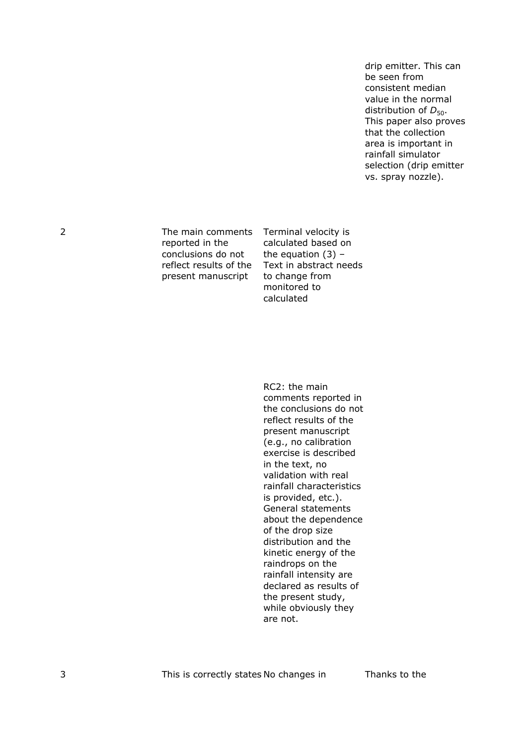drip emitter. This can be seen from consistent median value in the normal distribution of  $D_{50}$ . This paper also proves that the collection area is important in rainfall simulator selection (drip emitter vs. spray nozzle).

reported in the conclusions do not reflect results of the present manuscript

2 The main comments Terminal velocity is calculated based on the equation  $(3)$  – Text in abstract needs to change from monitored to calculated

> RC2: the main comments reported in the conclusions do not reflect results of the present manuscript (e.g., no calibration exercise is described in the text, no validation with real rainfall characteristics is provided, etc.). General statements about the dependence of the drop size distribution and the kinetic energy of the raindrops on the rainfall intensity are declared as results of the present study, while obviously they are not.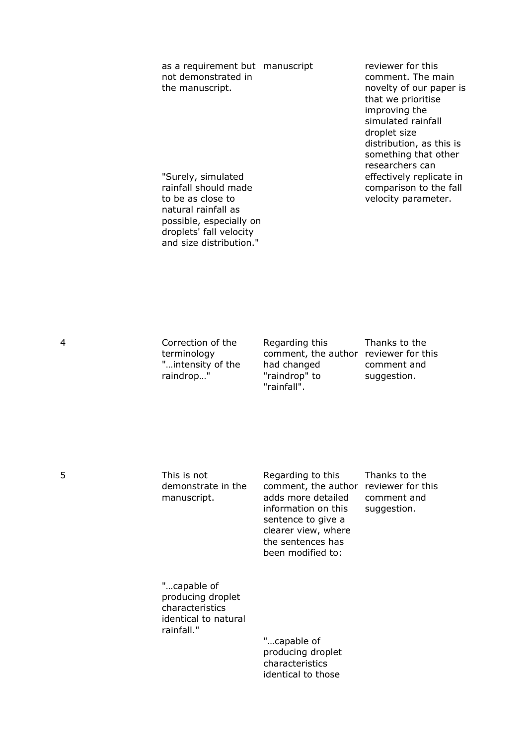as a requirement but manuscript not demonstrated in the manuscript.

reviewer for this comment. The main novelty of our paper is that we prioritise improving the simulated rainfall droplet size distribution, as this is something that other researchers can effectively replicate in comparison to the fall velocity parameter.

"Surely, simulated rainfall should made to be as close to natural rainfall as possible, especially on droplets' fall velocity and size distribution."

4 Correction of the terminology "…intensity of the raindrop…"

Regarding this comment, the author reviewer for this had changed "raindrop" to "rainfall".

Thanks to the comment and suggestion.

5 This is not demonstrate in the manuscript.

Regarding to this comment, the author reviewer for this adds more detailed information on this sentence to give a clearer view, where the sentences has been modified to:

Thanks to the comment and suggestion.

"…capable of producing droplet characteristics identical to natural rainfall."

> "…capable of producing droplet characteristics identical to those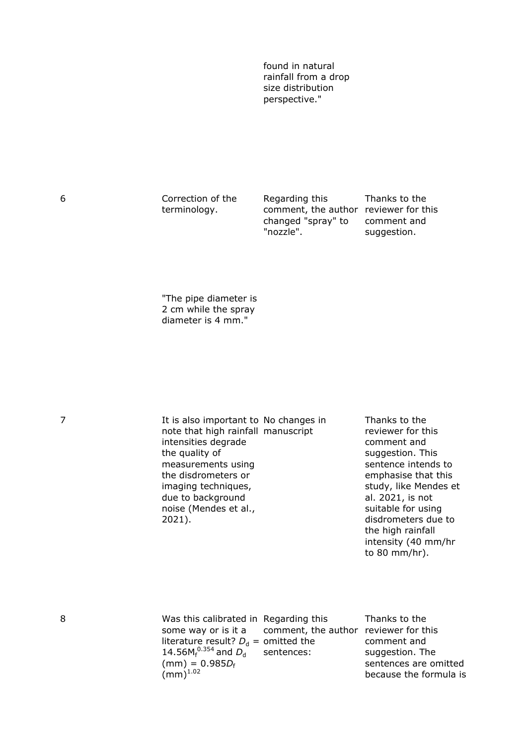found in natural rainfall from a drop size distribution perspective."

6 Correction of the terminology.

Regarding this comment, the author reviewer for this changed "spray" to "nozzle".

Thanks to the comment and suggestion.

"The pipe diameter is 2 cm while the spray diameter is 4 mm."

7 It is also important to No changes in note that high rainfall manuscript intensities degrade the quality of measurements using the disdrometers or imaging techniques, due to background noise (Mendes et al., 2021).

Thanks to the reviewer for this comment and suggestion. This sentence intends to emphasise that this study, like Mendes et al. 2021, is not suitable for using disdrometers due to the high rainfall intensity (40 mm/hr to 80 mm/hr).

| 8 | Was this calibrated in Regarding this                     | Thanks to the          |
|---|-----------------------------------------------------------|------------------------|
|   | some way or is it a comment, the author reviewer for this |                        |
|   | literature result? $D_d$ = omitted the                    | comment and            |
|   | 14.56 $M_f^{0.354}$ and $D_d$ sentences:                  | suggestion. The        |
|   | $(mm) = 0.985D_f$                                         | sentences are omitted  |
|   | $\text{(mm)}^{1.02}$                                      | because the formula is |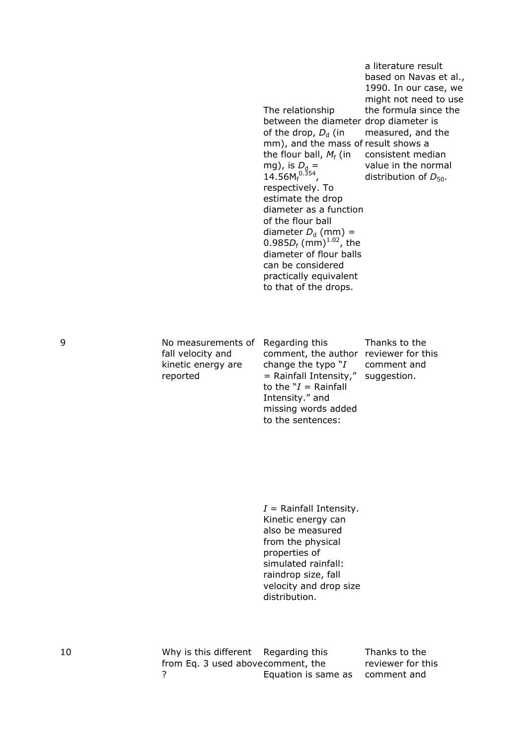|   |                                                                           | The relationship<br>between the diameter drop diameter is<br>of the drop, $D_{d}$ (in<br>mm), and the mass of result shows a<br>the flour ball, $M_f$ (in<br>mg), is $D_d =$<br>14.56 $M_f^{0.354}$ ,<br>respectively. To<br>estimate the drop<br>diameter as a function<br>of the flour ball<br>diameter $D_d$ (mm) =<br>0.985 $D_f$ (mm) <sup>1.02</sup> , the<br>diameter of flour balls<br>can be considered<br>practically equivalent<br>to that of the drops. | a literature result<br>based on Navas et al.,<br>1990. In our case, we<br>might not need to use<br>the formula since the<br>measured, and the<br>consistent median<br>value in the normal<br>distribution of $D_{50}$ . |
|---|---------------------------------------------------------------------------|---------------------------------------------------------------------------------------------------------------------------------------------------------------------------------------------------------------------------------------------------------------------------------------------------------------------------------------------------------------------------------------------------------------------------------------------------------------------|-------------------------------------------------------------------------------------------------------------------------------------------------------------------------------------------------------------------------|
| 9 | No measurements of<br>fall velocity and<br>kinetic energy are<br>reported | Regarding this<br>comment, the author reviewer for this<br>change the typo $"I$<br>= Rainfall Intensity,"<br>to the $Y =$ Rainfall<br>Intensity." and<br>missing words added<br>to the sentences:                                                                                                                                                                                                                                                                   | Thanks to the<br>comment and<br>suggestion.                                                                                                                                                                             |
|   |                                                                           | $I =$ Rainfall Intensity.<br>Kinetic energy can<br>also be measured<br>from the physical<br>properties of<br>simulated rainfall:<br>raindrop size, fall<br>velocity and drop size<br>distribution.                                                                                                                                                                                                                                                                  |                                                                                                                                                                                                                         |

10 Why is this different from Eq. 3 used above ? Regarding this comment, the Equation is same as

Thanks to the reviewer for this comment and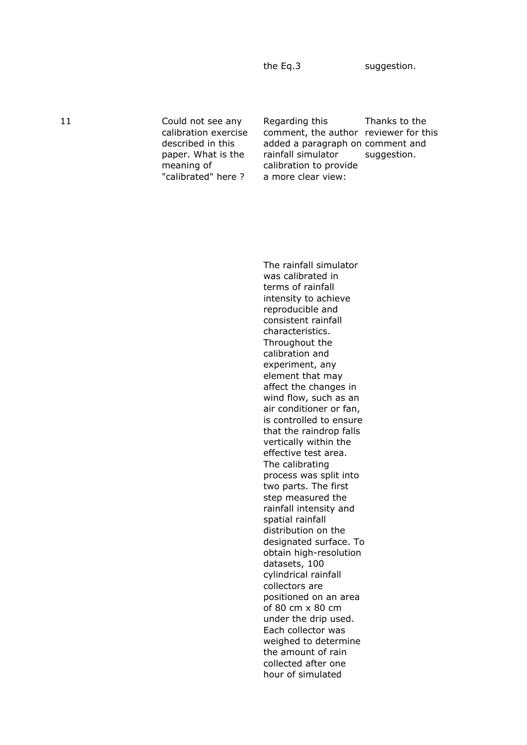the Eq.3 suggestion.

11 Could not see any calibration exercise described in this paper. What is the meaning of "calibrated" here ?

Regarding this comment, the author reviewer for this added a paragraph on comment and rainfall simulator calibration to provide a more clear view:

Thanks to the suggestion.

The rainfall simulator was calibrated in terms of rainfall intensity to achieve reproducible and consistent rainfall characteristics. Throughout the calibration and experiment, any element that may affect the changes in wind flow, such as an air conditioner or fan, is controlled to ensure that the raindrop falls vertically within the effective test area. The calibrating process was split into two parts. The first step measured the rainfall intensity and spatial rainfall distribution on the designated surface. To obtain high-resolution datasets, 100 cylindrical rainfall collectors are positioned on an area of 80 cm x 80 cm under the drip used. Each collector was weighed to determine the amount of rain collected after one hour of simulated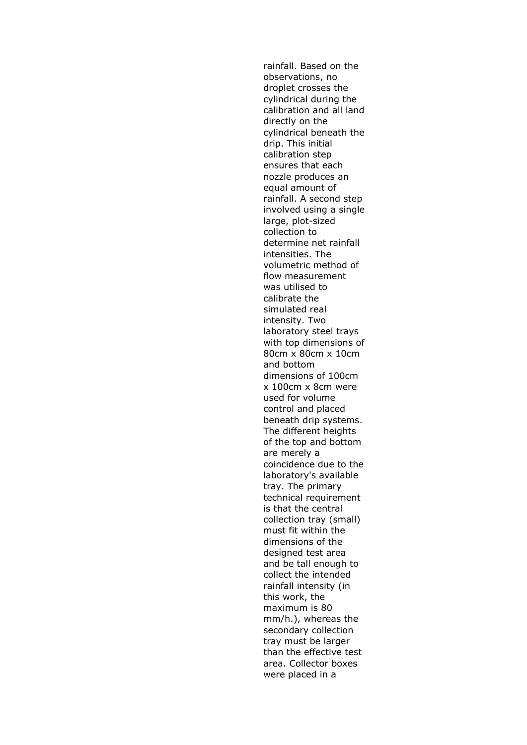rainfall. Based on the observations, no droplet crosses the cylindrical during the calibration and all land directly on the cylindrical beneath the drip. This initial calibration step ensures that each nozzle produces an equal amount of rainfall. A second step involved using a single large, plot-sized collection to determine net rainfall intensities. The volumetric method of flow measurement was utilised to calibrate the simulated real intensity. Two laboratory steel trays with top dimensions of 80cm x 80cm x 10cm and bottom dimensions of 100cm x 100cm x 8cm were used for volume control and placed beneath drip systems. The different heights of the top and bottom are merely a coincidence due to the laboratory's available tray. The primary technical requirement is that the central collection tray (small) must fit within the dimensions of the designed test area and be tall enough to collect the intended rainfall intensity (in this work, the maximum is 80 mm/h.), whereas the secondary collection tray must be larger than the effective test area. Collector boxes were placed in a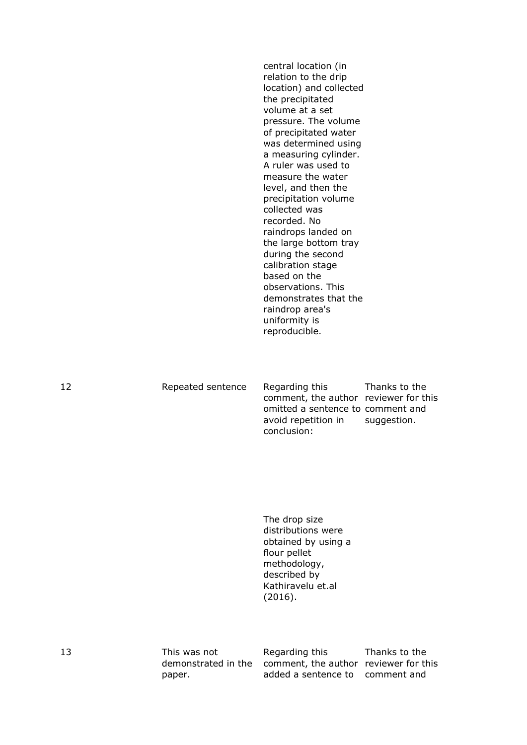central location (in relation to the drip location) and collected the precipitated volume at a set pressure. The volume of precipitated water was determined using a measuring cylinder. A ruler was used to measure the water level, and then the precipitation volume collected was recorded. No raindrops landed on the large bottom tray during the second calibration stage based on the observations. This demonstrates that the raindrop area's uniformity is reproducible.

12 Repeated sentence Regarding this comment, the author reviewer for this omitted a sentence to comment and avoid repetition in conclusion: Thanks to the suggestion.

> The drop size distributions were obtained by using a flour pellet methodology, described by Kathiravelu et.al (2016).

13 This was not demonstrated in the comment, the author reviewer for this paper. Regarding this added a sentence to comment and

Thanks to the